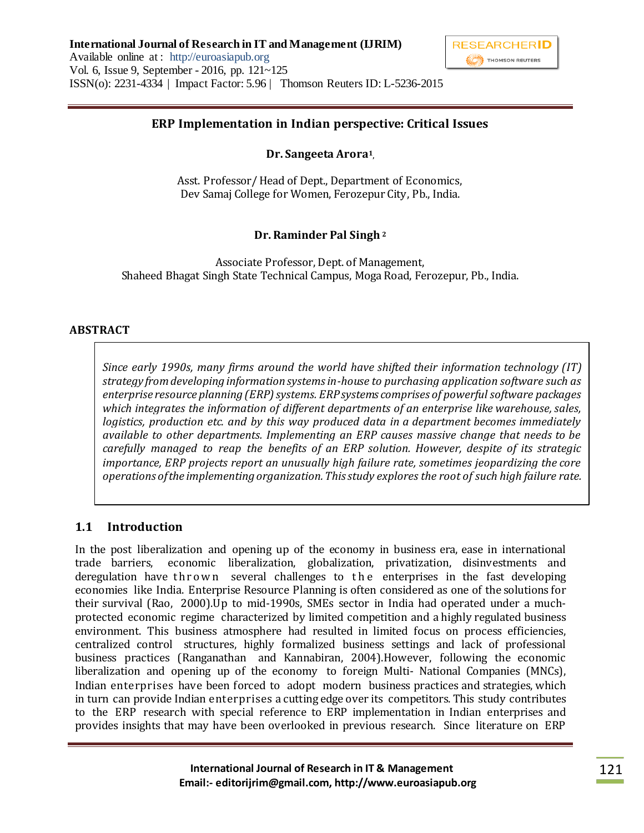

## **ERP Implementation in Indian perspective: Critical Issues**

**Dr. Sangeeta Arora<sup>1</sup> ,**

Asst. Professor/ Head of Dept., Department of Economics, Dev Samaj College for Women, Ferozepur City, Pb., India.

### **Dr. Raminder Pal Singh <sup>2</sup>**

Associate Professor, Dept. of Management, Shaheed Bhagat Singh State Technical Campus, Moga Road, Ferozepur, Pb., India.

#### **ABSTRACT**

*Since early 1990s, many firms around the world have shifted their information technology (IT) strategy from developing information systems in-house to purchasing application software such as enterprise resource planning (ERP) systems. ERP systems comprises of powerful software packages which integrates the information of different departments of an enterprise like warehouse, sales, logistics, production etc. and by this way produced data in a department becomes immediately available to other departments. Implementing an ERP causes massive change that needs to be carefully managed to reap the benefits of an ERP solution. However, despite of its strategic importance, ERP projects report an unusually high failure rate, sometimes jeopardizing the core operations of the implementing organization. This study explores the root of such high failure rate.*

### **1.1 Introduction**

In the post liberalization and opening up of the economy in business era, ease in international trade barriers, economic liberalization, globalization, privatization, disinvestments and deregulation have thrown several challenges to the enterprises in the fast developing economies like India. Enterprise Resource Planning is often considered as one of the solutions for their survival (Rao, 2000).Up to mid-1990s, SMEs sector in India had operated under a muchprotected economic regime characterized by limited competition and a highly regulated business environment. This business atmosphere had resulted in limited focus on process efficiencies, centralized control structures, highly formalized business settings and lack of professional business practices (Ranganathan and Kannabiran, 2004).However, following the economic liberalization and opening up of the economy to foreign Multi- National Companies (MNCs), Indian enterprises have been forced to adopt modern business practices and strategies, which in turn can provide Indian enterprises a cutting edge over its competitors. This study contributes to the ERP research with special reference to ERP implementation in Indian enterprises and provides insights that may have been overlooked in previous research. Since literature on ERP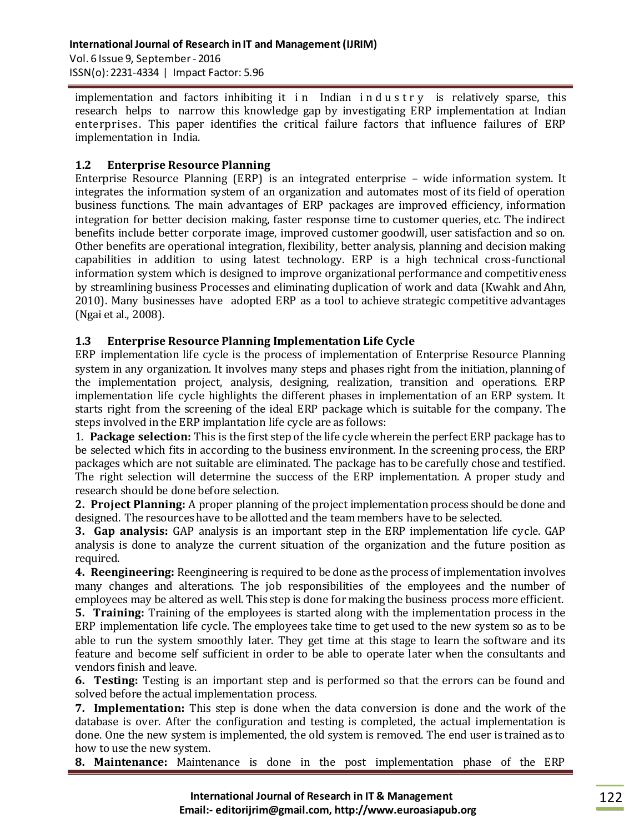implementation and factors inhibiting it in Indian industry is relatively sparse, this research helps to narrow this knowledge gap by investigating ERP implementation at Indian enterprises. This paper identifies the critical failure factors that influence failures of ERP implementation in India.

# **1.2 Enterprise Resource Planning**

Enterprise Resource Planning (ERP) is an integrated enterprise – wide information system. It integrates the information system of an organization and automates most of its field of operation business functions. The main advantages of ERP packages are improved efficiency, information integration for better decision making, faster response time to customer queries, etc. The indirect benefits include better corporate image, improved customer goodwill, user satisfaction and so on. Other benefits are operational integration, flexibility, better analysis, planning and decision making capabilities in addition to using latest technology. ERP is a high technical cross-functional information system which is designed to improve organizational performance and competitiveness by streamlining business Processes and eliminating duplication of work and data (Kwahk and Ahn, 2010). Many businesses have adopted ERP as a tool to achieve strategic competitive advantages (Ngai et al., 2008).

## **1.3 Enterprise Resource Planning Implementation Life Cycle**

ERP implementation life cycle is the process of implementation of Enterprise Resource Planning system in any organization. It involves many steps and phases right from the initiation, planning of the implementation project, analysis, designing, realization, transition and operations. ERP implementation life cycle highlights the different phases in implementation of an ERP system. It starts right from the screening of the ideal ERP package which is suitable for the company. The steps involved in the ERP implantation life cycle are as follows:

1. **Package selection:** This is the first step of the life cycle wherein the perfect ERP package has to be selected which fits in according to the business environment. In the screening process, the ERP packages which are not suitable are eliminated. The package has to be carefully chose and testified. The right selection will determine the success of the ERP implementation. A proper study and research should be done before selection.

**2. Project Planning:** A proper planning of the project implementation process should be done and designed. The resources have to be allotted and the team members have to be selected.

**3. Gap analysis:** GAP analysis is an important step in the ERP implementation life cycle. GAP analysis is done to analyze the current situation of the organization and the future position as required.

**4. Reengineering:** Reengineering is required to be done as the process of implementation involves many changes and alterations. The job responsibilities of the employees and the number of employees may be altered as well. This step is done for making the business process more efficient.

**5. Training:** Training of the employees is started along with the implementation process in the ERP implementation life cycle. The employees take time to get used to the new system so as to be able to run the system smoothly later. They get time at this stage to learn the software and its feature and become self sufficient in order to be able to operate later when the consultants and vendors finish and leave.

**6. Testing:** Testing is an important step and is performed so that the errors can be found and solved before the actual implementation process.

**7. Implementation:** This step is done when the data conversion is done and the work of the database is over. After the configuration and testing is completed, the actual implementation is done. One the new system is implemented, the old system is removed. The end user is trained as to how to use the new system.

**8. Maintenance:** Maintenance is done in the post implementation phase of the ERP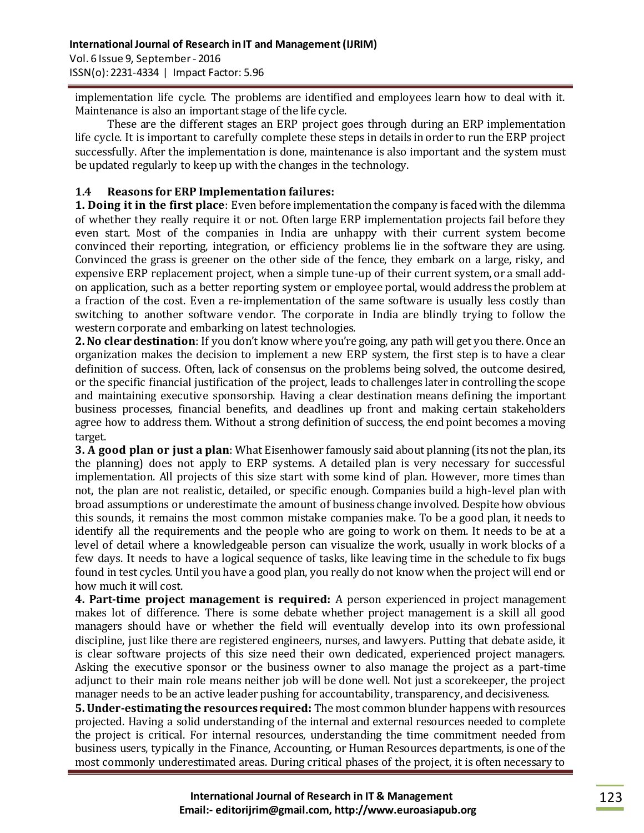implementation life cycle. The problems are identified and employees learn how to deal with it. Maintenance is also an important stage of the life cycle.

These are the different stages an ERP project goes through during an ERP implementation life cycle. It is important to carefully complete these steps in details in order to run the ERP project successfully. After the implementation is done, maintenance is also important and the system must be updated regularly to keep up with the changes in the technology.

## **1.4 Reasons for ERP Implementation failures:**

**1. Doing it in the first place**: Even before implementation the company is faced with the dilemma of whether they really require it or not. Often large ERP implementation projects fail before they even start. Most of the companies in India are unhappy with their current system become convinced their reporting, integration, or efficiency problems lie in the software they are using. Convinced the grass is greener on the other side of the fence, they embark on a large, risky, and expensive ERP replacement project, when a simple tune-up of their current system, or a small addon application, such as a better reporting system or employee portal, would address the problem at a fraction of the cost. Even a re-implementation of the same software is usually less costly than switching to another software vendor. The corporate in India are blindly trying to follow the western corporate and embarking on latest technologies.

**2. No clear destination**: If you don't know where you're going, any path will get you there. Once an organization makes the decision to implement a new ERP system, the first step is to have a clear definition of success. Often, lack of consensus on the problems being solved, the outcome desired, or the specific financial justification of the project, leads to challenges later in controlling the scope and maintaining executive sponsorship. Having a clear destination means defining the important business processes, financial benefits, and deadlines up front and making certain stakeholders agree how to address them. Without a strong definition of success, the end point becomes a moving target.

**3. A good plan or just a plan**: What Eisenhower famously said about planning (its not the plan, its the planning) does not apply to ERP systems. A detailed plan is very necessary for successful implementation. All projects of this size start with some kind of plan. However, more times than not, the plan are not realistic, detailed, or specific enough. Companies build a high-level plan with broad assumptions or underestimate the amount of business change involved. Despite how obvious this sounds, it remains the most common mistake companies make. To be a good plan, it needs to identify all the requirements and the people who are going to work on them. It needs to be at a level of detail where a knowledgeable person can visualize the work, usually in work blocks of a few days. It needs to have a logical sequence of tasks, like leaving time in the schedule to fix bugs found in test cycles. Until you have a good plan, you really do not know when the project will end or how much it will cost.

**4. Part-time project management is required:** A person experienced in project management makes lot of difference. There is some debate whether project management is a skill all good managers should have or whether the field will eventually develop into its own professional discipline, just like there are registered engineers, nurses, and lawyers. Putting that debate aside, it is clear software projects of this size need their own dedicated, experienced project managers. Asking the executive sponsor or the business owner to also manage the project as a part-time adjunct to their main role means neither job will be done well. Not just a scorekeeper, the project manager needs to be an active leader pushing for accountability, transparency, and decisiveness.

**5. Under-estimating the resources required:** The most common blunder happens with resources projected. Having a solid understanding of the internal and external resources needed to complete the project is critical. For internal resources, understanding the time commitment needed from business users, typically in the Finance, Accounting, or Human Resources departments, is one of the most commonly underestimated areas. During critical phases of the project, it is often necessary to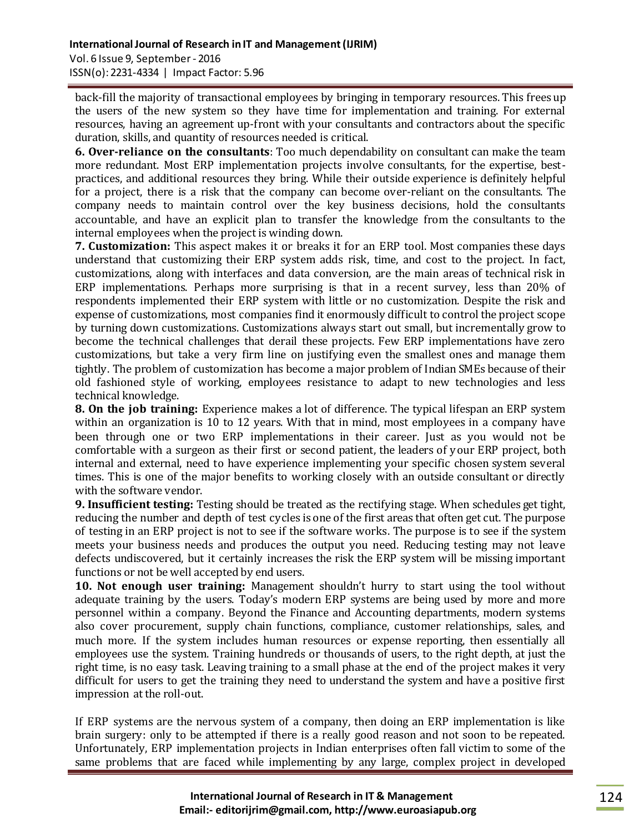ISSN(o): 2231-4334 | Impact Factor: 5.96

back-fill the majority of transactional employees by bringing in temporary resources. This frees up the users of the new system so they have time for implementation and training. For external resources, having an agreement up-front with your consultants and contractors about the specific duration, skills, and quantity of resources needed is critical.

**6. Over-reliance on the consultants**: Too much dependability on consultant can make the team more redundant. Most ERP implementation projects involve consultants, for the expertise, bestpractices, and additional resources they bring. While their outside experience is definitely helpful for a project, there is a risk that the company can become over-reliant on the consultants. The company needs to maintain control over the key business decisions, hold the consultants accountable, and have an explicit plan to transfer the knowledge from the consultants to the internal employees when the project is winding down.

**7. Customization:** This aspect makes it or breaks it for an ERP tool. Most companies these days understand that customizing their ERP system adds risk, time, and cost to the project. In fact, customizations, along with interfaces and data conversion, are the main areas of technical risk in ERP implementations. Perhaps more surprising is that in a recent survey, less than 20% of respondents implemented their ERP system with little or no customization. Despite the risk and expense of customizations, most companies find it enormously difficult to control the project scope by turning down customizations. Customizations always start out small, but incrementally grow to become the technical challenges that derail these projects. Few ERP implementations have zero customizations, but take a very firm line on justifying even the smallest ones and manage them tightly. The problem of customization has become a major problem of Indian SMEs because of their old fashioned style of working, employees resistance to adapt to new technologies and less technical knowledge.

**8. On the job training:** Experience makes a lot of difference. The typical lifespan an ERP system within an organization is 10 to 12 years. With that in mind, most employees in a company have been through one or two ERP implementations in their career. Just as you would not be comfortable with a surgeon as their first or second patient, the leaders of your ERP project, both internal and external, need to have experience implementing your specific chosen system several times. This is one of the major benefits to working closely with an outside consultant or directly with the software vendor.

**9. Insufficient testing:** Testing should be treated as the rectifying stage. When schedules get tight, reducing the number and depth of test cycles is one of the first areas that often get cut. The purpose of testing in an ERP project is not to see if the software works. The purpose is to see if the system meets your business needs and produces the output you need. Reducing testing may not leave defects undiscovered, but it certainly increases the risk the ERP system will be missing important functions or not be well accepted by end users.

**10. Not enough user training:** Management shouldn't hurry to start using the tool without adequate training by the users. Today's modern ERP systems are being used by more and more personnel within a company. Beyond the Finance and Accounting departments, modern systems also cover procurement, supply chain functions, compliance, customer relationships, sales, and much more. If the system includes human resources or expense reporting, then essentially all employees use the system. Training hundreds or thousands of users, to the right depth, at just the right time, is no easy task. Leaving training to a small phase at the end of the project makes it very difficult for users to get the training they need to understand the system and have a positive first impression at the roll-out.

If ERP systems are the nervous system of a company, then doing an ERP implementation is like brain surgery: only to be attempted if there is a really good reason and not soon to be repeated. Unfortunately, ERP implementation projects in Indian enterprises often fall victim to some of the same problems that are faced while implementing by any large, complex project in developed